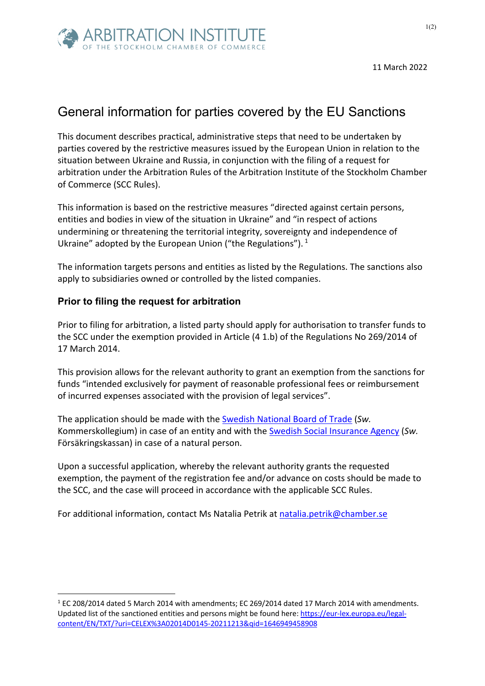

## General information for parties covered by the EU Sanctions

This document describes practical, administrative steps that need to be undertaken by parties covered by the restrictive measures issued by the European Union in relation to the situation between Ukraine and Russia, in conjunction with the filing of a request for arbitration under the Arbitration Rules of the Arbitration Institute of the Stockholm Chamber of Commerce (SCC Rules).

This information is based on the restrictive measures "directed against certain persons, entities and bodies in view of the situation in Ukraine" and "in respect of actions undermining or threatening the territorial integrity, sovereignty and independence of Ukraine" adopted by the European Union ("the Regulations").  $1$ 

The information targets persons and entities as listed by the Regulations. The sanctions also apply to subsidiaries owned or controlled by the listed companies.

## **Prior to filing the request for arbitration**

Prior to filing for arbitration, a listed party should apply for authorisation to transfer funds to the SCC under the exemption provided in Article (4 1.b) of the Regulations No 269/2014 of 17 March 2014.

This provision allows for the relevant authority to grant an exemption from the sanctions for funds "intended exclusively for payment of reasonable professional fees or reimbursement of incurred expenses associated with the provision of legal services".

The application should be made with the Swedish National Board of Trade (*Sw.*  Kommerskollegium) in case of an entity and with the Swedish Social Insurance Agency (*Sw.*  Försäkringskassan) in case of a natural person.

Upon a successful application, whereby the relevant authority grants the requested exemption, the payment of the registration fee and/or advance on costs should be made to the SCC, and the case will proceed in accordance with the applicable SCC Rules.

For additional information, contact Ms Natalia Petrik at natalia.petrik@chamber.se

 $1$  EC 208/2014 dated 5 March 2014 with amendments; EC 269/2014 dated 17 March 2014 with amendments. Updated list of the sanctioned entities and persons might be found here: https://eur-lex.europa.eu/legalcontent/EN/TXT/?uri=CELEX%3A02014D0145-20211213&qid=1646949458908